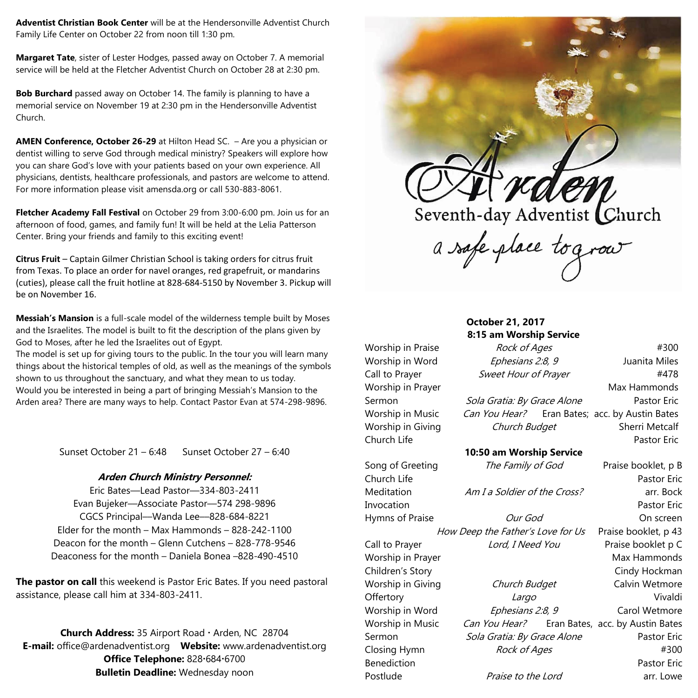**Adventist Christian Book Center** will be at the Hendersonville Adventist Church Family Life Center on October 22 from noon till 1:30 pm.

**Margaret Tate**, sister of Lester Hodges, passed away on October 7. A memorial service will be held at the Fletcher Adventist Church on October 28 at 2:30 pm.

**Bob Burchard** passed away on October 14. The family is planning to have a memorial service on November 19 at 2:30 pm in the Hendersonville Adventist Church.

**AMEN Conference, October 26-29** at Hilton Head SC. – Are you a physician or dentist willing to serve God through medical ministry? Speakers will explore how you can share God's love with your patients based on your own experience. All physicians, dentists, healthcare professionals, and pastors are welcome to attend. For more information please visit amensda.org or call 530-883-8061.

**Fletcher Academy Fall Festival** on October 29 from 3:00-6:00 pm. Join us for an afternoon of food, games, and family fun! It will be held at the Lelia Patterson Center. Bring your friends and family to this exciting event!

**Citrus Fruit** – Captain Gilmer Christian School is taking orders for citrus fruit from Texas. To place an order for navel oranges, red grapefruit, or mandarins (cuties), please call the fruit hotline at 828-684-5150 by November 3. Pickup will be on November 16.

**Messiah's Mansion** is a full-scale model of the wilderness temple built by Moses and the Israelites. The model is built to fit the description of the plans given by God to Moses, after he led the Israelites out of Egypt.

The model is set up for giving tours to the public. In the tour you will learn many things about the historical temples of old, as well as the meanings of the symbols shown to us throughout the sanctuary, and what they mean to us today. Would you be interested in being a part of bringing Messiah's Mansion to the Arden area? There are many ways to help. Contact Pastor Evan at 574-298-9896.

Sunset October 21 – 6:48 Sunset October 27 – 6:40

## **Arden Church Ministry Personnel:**

Eric Bates—Lead Pastor—334-803-2411 Evan Bujeker––Associate Pastor––574 298-9896 CGCS Principal––Wanda Lee––828-684-8221 Elder for the month – Max Hammonds – 828-242-1100 Deacon for the month – Glenn Cutchens – 828-778-9546 Deaconess for the month – Daniela Bonea –828-490-4510

**The pastor on call** this weekend is Pastor Eric Bates. If you need pastoral assistance, please call him at 334-803-2411.

**Church Address:** 35 Airport Road · Arden, NC 28704 **E-mail:** office@ardenadventist.org **Website:** www.ardenadventist.org **Office Telephone:** 828.684.6700 **Bulletin Deadline:** Wednesday noon



|                   | <b>October 21, 2017</b>           |  |                                                |
|-------------------|-----------------------------------|--|------------------------------------------------|
|                   | 8:15 am Worship Service           |  |                                                |
| Worship in Praise | Rock of Ages                      |  | #300                                           |
| Worship in Word   | Ephesians 2:8, 9                  |  | Juanita Miles                                  |
| Call to Prayer    | Sweet Hour of Prayer              |  | #478                                           |
| Worship in Prayer |                                   |  | Max Hammonds                                   |
| Sermon            | Sola Gratia: By Grace Alone       |  | <b>Pastor Eric</b>                             |
| Worship in Music  |                                   |  | Can You Hear? Eran Bates; acc. by Austin Bates |
| Worship in Giving | Church Budget                     |  | <b>Sherri Metcalf</b>                          |
| Church Life       |                                   |  | <b>Pastor Eric</b>                             |
|                   | 10:50 am Worship Service          |  |                                                |
| Song of Greeting  | The Family of God                 |  | Praise booklet, p B                            |
| Church Life       |                                   |  | <b>Pastor Eric</b>                             |
| Meditation        | Am I a Soldier of the Cross?      |  | arr. Bock                                      |
| Invocation        |                                   |  | <b>Pastor Eric</b>                             |
| Hymns of Praise   | Our God                           |  | On screen                                      |
|                   | How Deep the Father's Love for Us |  | Praise booklet, p 43                           |
| Call to Prayer    | Lord, I Need You                  |  | Praise booklet p C                             |
| Worship in Prayer |                                   |  | Max Hammonds                                   |
| Children's Story  |                                   |  | Cindy Hockman                                  |
| Worship in Giving | Church Budget                     |  | Calvin Wetmore                                 |
| Offertory         | Largo                             |  | Vivaldi                                        |
| Worship in Word   | Ephesians 2:8, 9                  |  | Carol Wetmore                                  |
| Worship in Music  | Can You Hear?                     |  | Eran Bates, acc. by Austin Bates               |
| Sermon            | Sola Gratia: By Grace Alone       |  | Pastor Eric                                    |
| Closing Hymn      | Rock of Ages                      |  | #300                                           |
| Benediction       |                                   |  | <b>Pastor Eric</b>                             |
| Postlude          | Praise to the Lord                |  | arr. Lowe                                      |